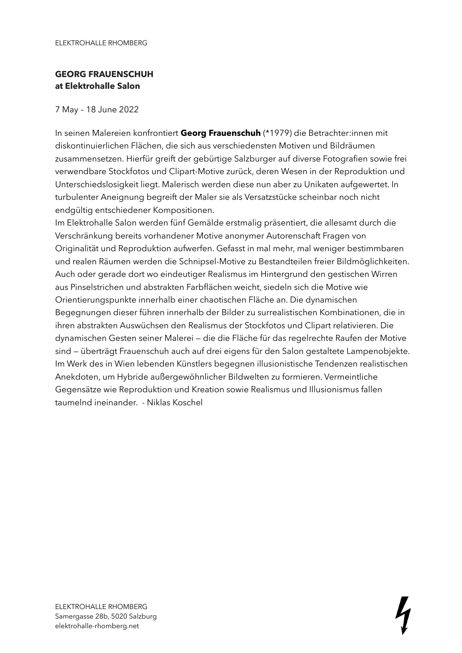## **GEORG FRAUENSCHUH at Elektrohalle Salon**

## 7 May – 18 June 2022

In seinen Malereien konfrontiert **Georg Frauenschuh** (\*1979) die Betrachter:innen mit diskontinuierlichen Flächen, die sich aus verschiedensten Motiven und Bildräumen zusammensetzen. Hierfür greift der gebürtige Salzburger auf diverse Fotografien sowie frei verwendbare Stockfotos und Clipart-Motive zurück, deren Wesen in der Reproduktion und Unterschiedslosigkeit liegt. Malerisch werden diese nun aber zu Unikaten aufgewertet. In turbulenter Aneignung begreift der Maler sie als Versatzstücke scheinbar noch nicht endgültig entschiedener Kompositionen.

Im Elektrohalle Salon werden fünf Gemälde erstmalig präsentiert, die allesamt durch die Verschränkung bereits vorhandener Motive anonymer Autorenschaft Fragen von Originalität und Reproduktion aufwerfen. Gefasst in mal mehr, mal weniger bestimmbaren und realen Räumen werden die Schnipsel-Motive zu Bestandteilen freier Bildmöglichkeiten. Auch oder gerade dort wo eindeutiger Realismus im Hintergrund den gestischen Wirren aus Pinselstrichen und abstrakten Farbflächen weicht, siedeln sich die Motive wie Orientierungspunkte innerhalb einer chaotischen Fläche an. Die dynamischen Begegnungen dieser führen innerhalb der Bilder zu surrealistischen Kombinationen, die in ihren abstrakten Auswüchsen den Realismus der Stockfotos und Clipart relativieren. Die dynamischen Gesten seiner Malerei — die die Fläche für das regelrechte Raufen der Motive sind — überträgt Frauenschuh auch auf drei eigens für den Salon gestaltete Lampenobjekte. Im Werk des in Wien lebenden Künstlers begegnen illusionistische Tendenzen realistischen Anekdoten, um Hybride außergewöhnlicher Bildwelten zu formieren. Vermeintliche Gegensätze wie Reproduktion und Kreation sowie Realismus und Illusionismus fallen taumelnd ineinander. - Niklas Koschel